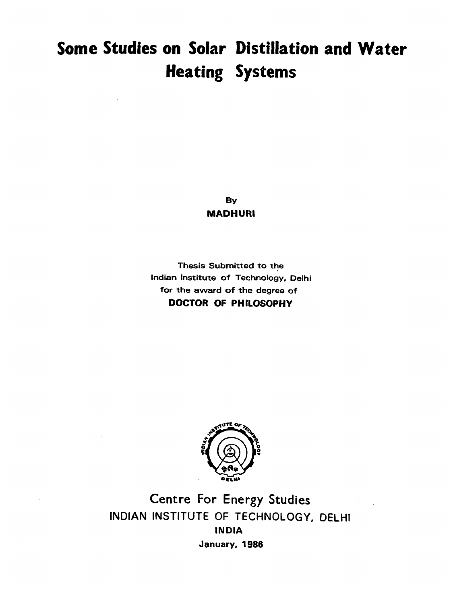# **Some Studies on Solar Distillation and Water Heating Systems**

**By MADHURI** 

**Thesis Submitted to the Indian Institute of Technology, Delhi for the award of the degree of DOCTOR OF PHILOSOPHY** 



**Centre For Energy Studies INDIAN INSTITUTE OF TECHNOLOGY, DELHI INDIA January, 1986**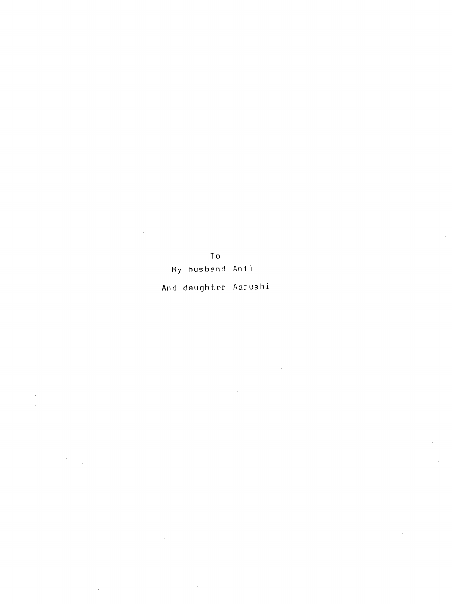# To

# My husband Anil

# And daughter Aarushi

 $\bar{z}$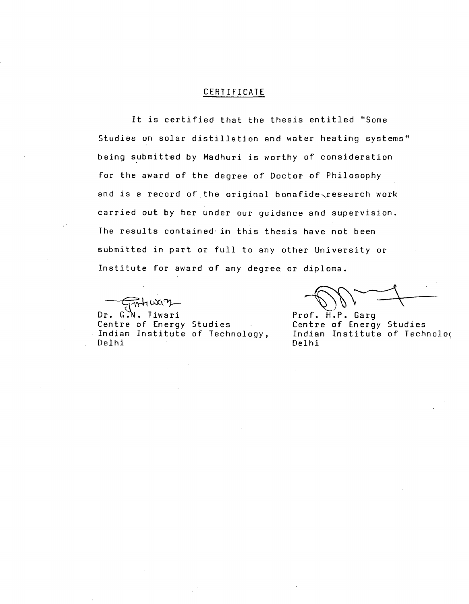### CERTIFICATE

It is certified that the thesis entitled "Some Studies on solar distillation and water heating systems" being submitted by Madhuri is worthy of consideration for the award of the degree of Doctor of Philosophy and is a record of the original bonafide research work carried out by her under our guidance and supervision. The results contained'in this thesis have not been submitted in part or full to any other University or Institute for award of any degree or diploma.

Dr. G.N. Tiwari Centre of Energy Studies Indian Institute of Technology, Delhi

Prof. H.P. Garg Centre of Energy Studies Indian Institute of Technoloc Delhi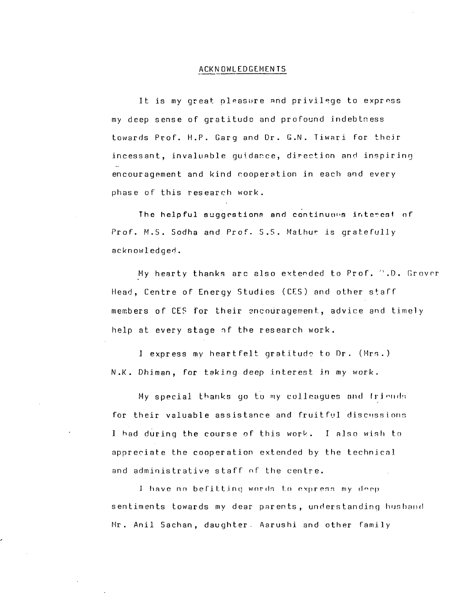#### ACKNOWLEDGEMENTS

It is my great pleasure and privilege to express my deep sense of gratitude and profound .indebtness towards Prof. H.P. Garg and Dr. G.N. Tiwari for their incessant, invaluable guidance, direction and inspiring encouragement and kind cooperation in each and every phase of this research work.

The helpful suggestions and continuous interest of Prof. M.S. Sodha and Prof. S.S. Mathur is gratefully acknowledged.

My hearty thanks arc also extended to Prof. ".D. Grover Head, Centre of Energy Studies (CES) and other staff members of CES for their encouragement, advice and timely help at every stage of the research work.

I express my heartfelt gratitude to Dr. (Mrs.) N.K. Dhiman, for taking deep interest in my work.

My special thanks go to my colleagues and friends for their valuable assistance and fruitful discussions I had during the course of this work. I also wish to appreciate the cooperation extended by the technical and administrative staff of the centre.

I have no befitting words to express my deep sentiments towards my dear parents, understanding husband Mr. Anil Sachan, daughter. Aarushi and other family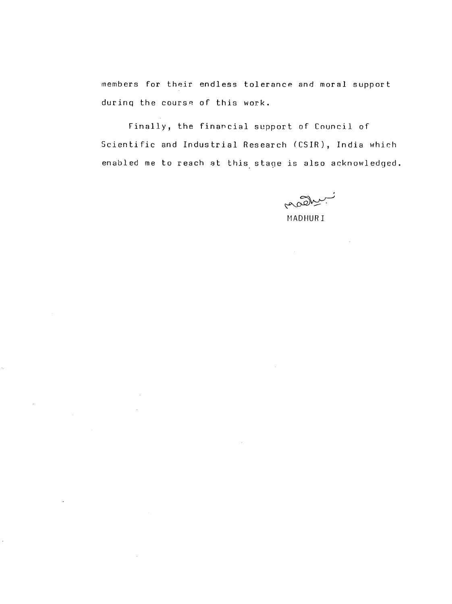members for their endless tolerance and moral support during the course of this work.

Finally, the financial support of Council of Scientific and Industrial Research (CSIR), India which enabled me to reach at this stage is also acknowledged.

 $\sim$ 

moon

MADHURI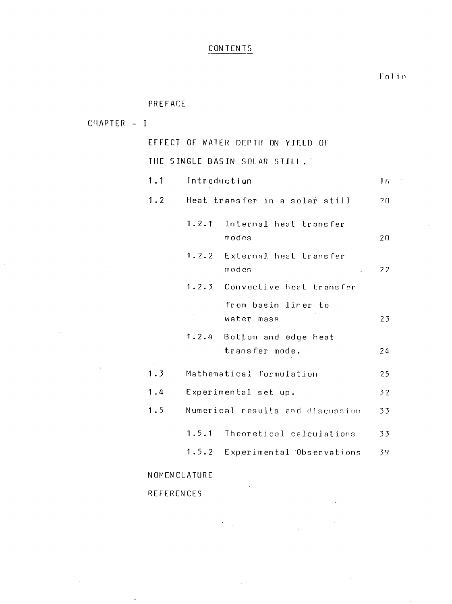# CONTENTS

### Folio

# PREFACE

 $\bar{z}$ 

 $\mathcal{L}_{\mathcal{A}}$ 

| CHAPTER - I |                               |                                |                                        |                |  |
|-------------|-------------------------------|--------------------------------|----------------------------------------|----------------|--|
|             |                               |                                | EFFECT OF WATER DEPTH ON YIELD OF      |                |  |
|             | THE SINGLE BASIN SOLAR STILL. |                                |                                        |                |  |
|             | 1.1                           | Introduction                   |                                        | 1 <sub>6</sub> |  |
|             | 1.2                           | Heat transfer in a solar still |                                        | 20             |  |
|             |                               | 1.2.1                          | Internal heat transfer<br>modes        | 20             |  |
|             |                               |                                | 1.2.2 External heat transfer<br>modes  | 22             |  |
|             |                               |                                | 1.2.3 Convective heat transfer         |                |  |
|             |                               |                                | from basin liner to<br>water mass      | 23             |  |
|             |                               | 1.2.4                          | Bottom and edge heat<br>transfer mode. | 24             |  |
|             | 1.3                           |                                | Mathematical formulation               | 25             |  |
|             | 1.4                           | Experimental set up.           |                                        | 32             |  |
|             | 1.5                           |                                | Numerical results and discussion       | 33             |  |
|             |                               | 1.5.1                          | Theoretical calculations               | 33             |  |
|             |                               | 1.5.2                          | Experimental Observations              | 39             |  |
|             | NOMENCLATURE                  |                                |                                        |                |  |
|             |                               |                                |                                        |                |  |

REFERENCES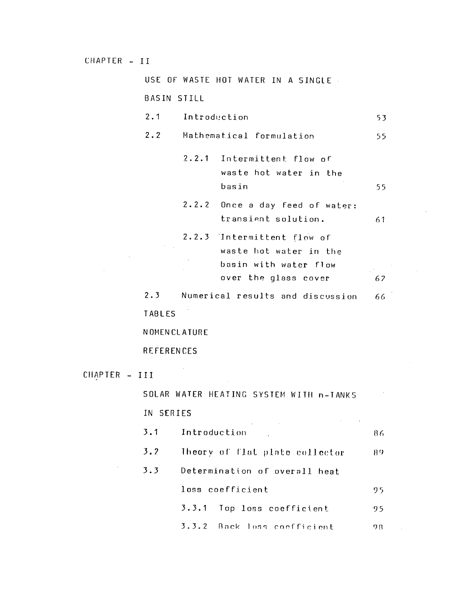#### CHAPTER - II

USE OF WASTE HOT WATER IN A SINGLE

BASIN STILL

| 2.1           | Introduction             | 53                                                   |    |  |
|---------------|--------------------------|------------------------------------------------------|----|--|
| $2 \cdot 2$   | Mathematical formulation |                                                      |    |  |
|               |                          | 2.2.1 Intermittent flow of<br>waste hot water in the |    |  |
|               |                          | basin                                                | 55 |  |
|               |                          | 2.2.2 Once a day feed of water:                      |    |  |
|               |                          | transient solution.                                  | 61 |  |
|               |                          | 2.2.3 Intermittent flow of                           |    |  |
|               |                          | waste hot water in the                               |    |  |
|               |                          | basin with water flow                                |    |  |
|               |                          | over the glass cover                                 | 62 |  |
| 2.3           |                          | Numerical results and discussion                     | 66 |  |
| <b>TABLES</b> |                          |                                                      |    |  |
| NOMENCLATURE  |                          |                                                      |    |  |

REFERENCES

CHAPTER - III

 $\sim 10^6$ 

 $\mathcal{L}^{\text{max}}_{\text{max}}$ 

 $\sim 10^{-1}$ 

SOLAR WATER HEATING SYSTEM WITH n-TANKS IN SERIES 3.1 Introduction 86

 $\sim 10$ 

| 3.2 | Theory of flat plate collector | $_{\rm 89}$ |
|-----|--------------------------------|-------------|
| 3.3 | Determination of overall heat  |             |
|     | loss coefficient               | 95          |
|     | 3.3.1 Top loss coefficient     | 95          |
|     | 3.3.2 Back loss coefficient    | 98          |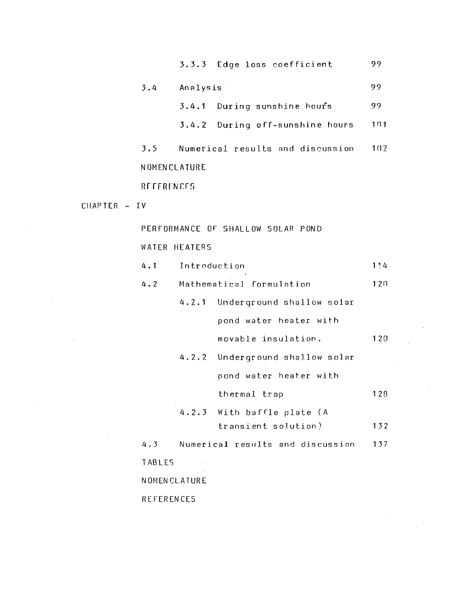3.3.3 Edge loss coefficient 99

3.4 Analysis 99

3.4.1 During sunshine houfs 99

3.4.2 During off-sunshine hours 101

3.5 Numerical results and discussion 107 NOMENCLATURE

RFFERFNCFs

CHAPTER - IV

PERFORMANCE OF SHALLOW SOLAR POND

WATER HEATERS

| 4.1          | Introduction             |                                      |     |
|--------------|--------------------------|--------------------------------------|-----|
| 4.2          | Mathematical formulation |                                      |     |
|              |                          | 4.2.1 Underground shallow solar      |     |
|              |                          | pond water heater with               |     |
|              |                          | movable insulation.                  | 120 |
|              |                          | 4.2.2 Underground shallow solar      |     |
|              |                          | pond water heater with               |     |
|              |                          | thermal trap                         | 128 |
|              |                          | 4.2.3 With baffle plate (A           |     |
|              |                          | transient solution)                  | 132 |
|              |                          | 4.3 Numerical results and discussion | 137 |
| TABLES       |                          |                                      |     |
| NOMENCLATURE |                          |                                      |     |

REFERENCES